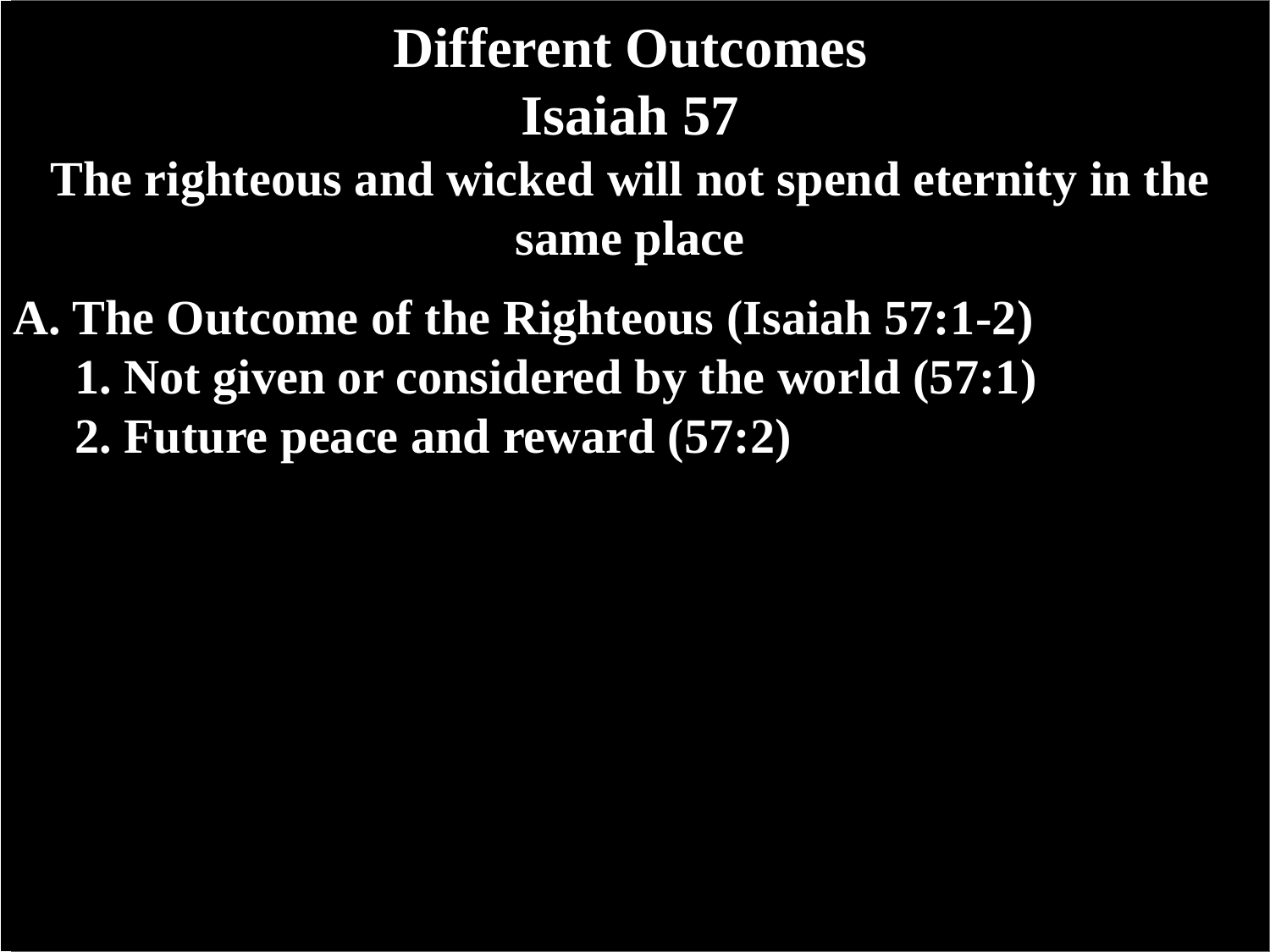**The righteous and wicked will not spend eternity in the same place**

**A. The Outcome of the Righteous (Isaiah 57:1-2) 1. Not given or considered by the world (57:1) 2. Future peace and reward (57:2)**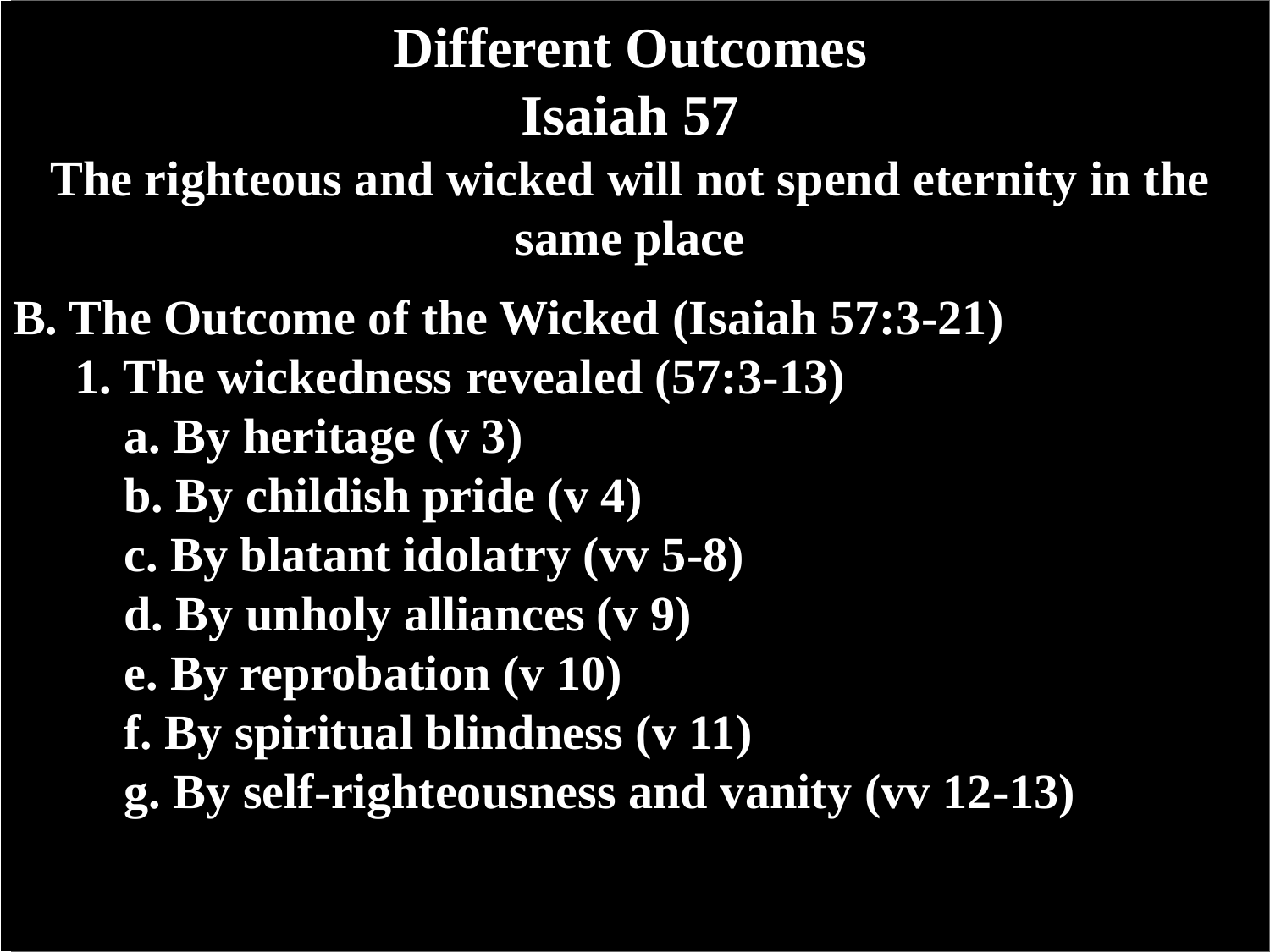**The righteous and wicked will not spend eternity in the same place**

- **B. The Outcome of the Wicked (Isaiah 57:3-21)**
	- **1. The wickedness revealed (57:3-13)**
		- **a. By heritage (v 3)**
		- **b. By childish pride (v 4)**
		- **c. By blatant idolatry (vv 5-8)**
		- **d. By unholy alliances (v 9)**
		- **e. By reprobation (v 10)**
		- **f. By spiritual blindness (v 11)**
		- **g. By self-righteousness and vanity (vv 12-13)**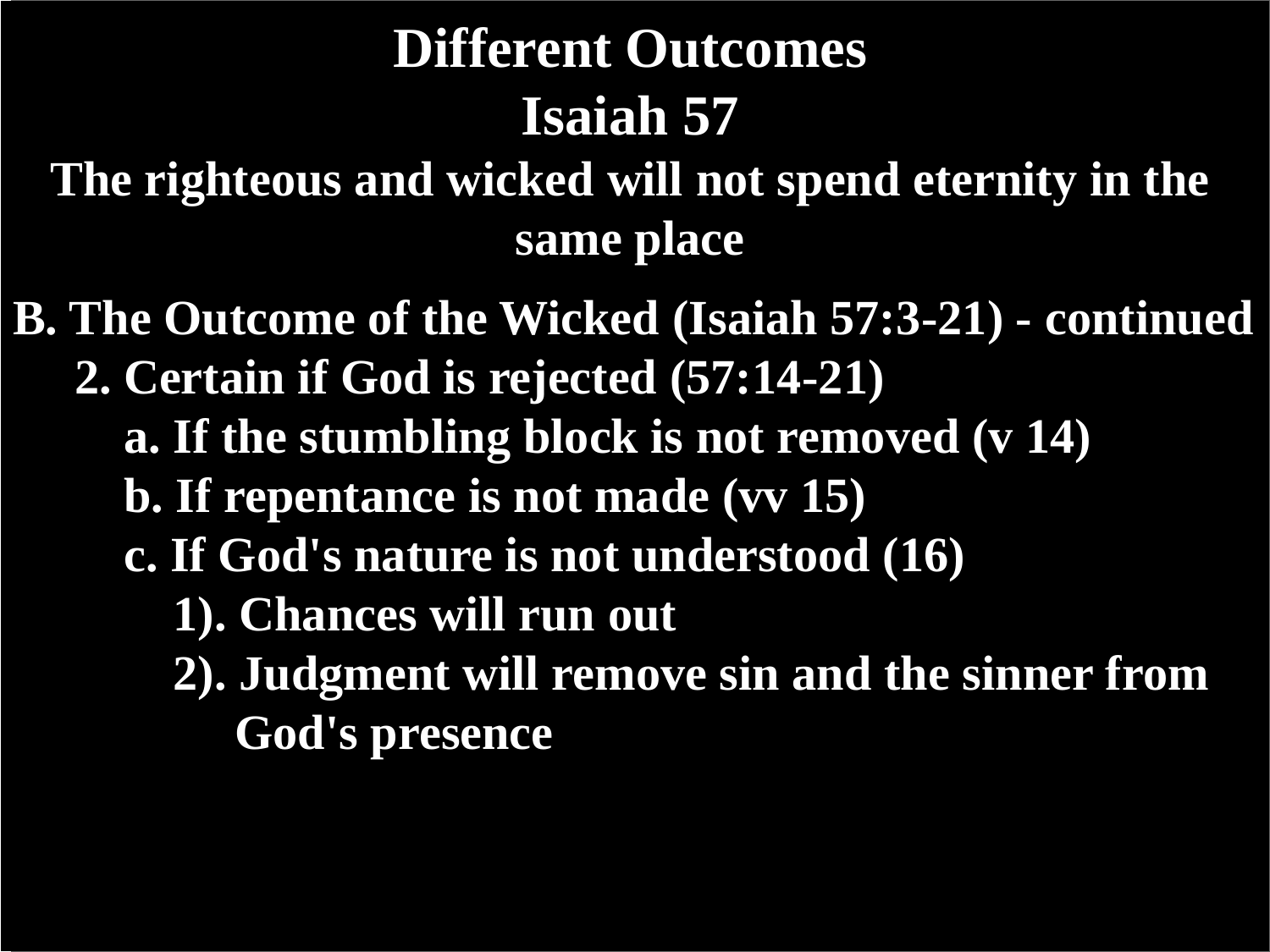**The righteous and wicked will not spend eternity in the same place**

**B. The Outcome of the Wicked (Isaiah 57:3-21) - continued 2. Certain if God is rejected (57:14-21)**

- **a. If the stumbling block is not removed (v 14)**
- **b. If repentance is not made (vv 15)**
- **c. If God's nature is not understood (16)**
	- **1). Chances will run out**
	- **2). Judgment will remove sin and the sinner from God's presence**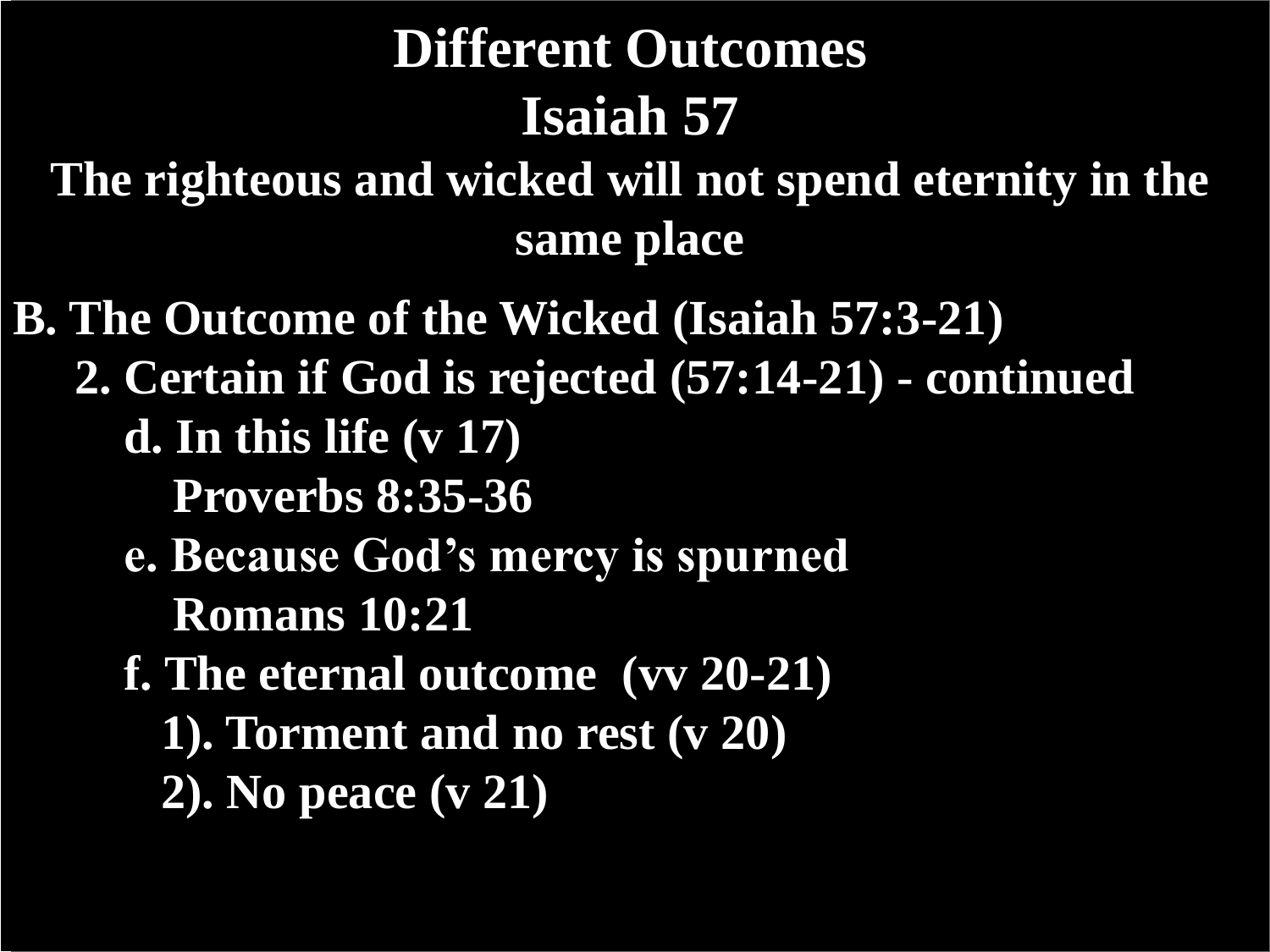**The righteous and wicked will not spend eternity in the same place**

**B. The Outcome of the Wicked (Isaiah 57:3-21) 2. Certain if God is rejected (57:14-21) - continued d. In this life (v 17) Proverbs 8:35-36 e. Because God's mercy is spurned Romans 10:21 f. The eternal outcome (vv 20-21) 1). Torment and no rest (v 20) 2). No peace (v 21)**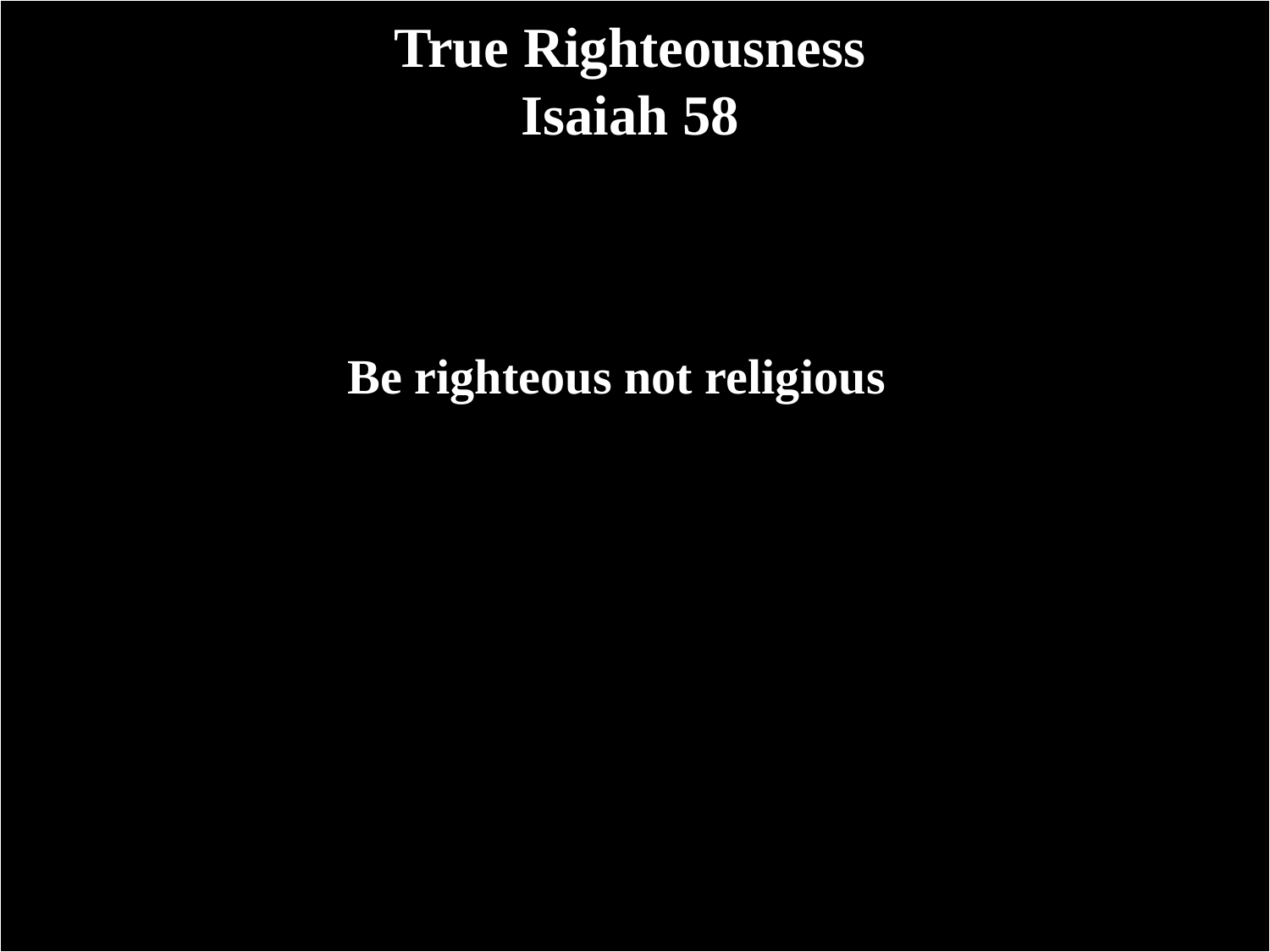#### **True Righteousness Isaiah 58**

**Be righteous not religious**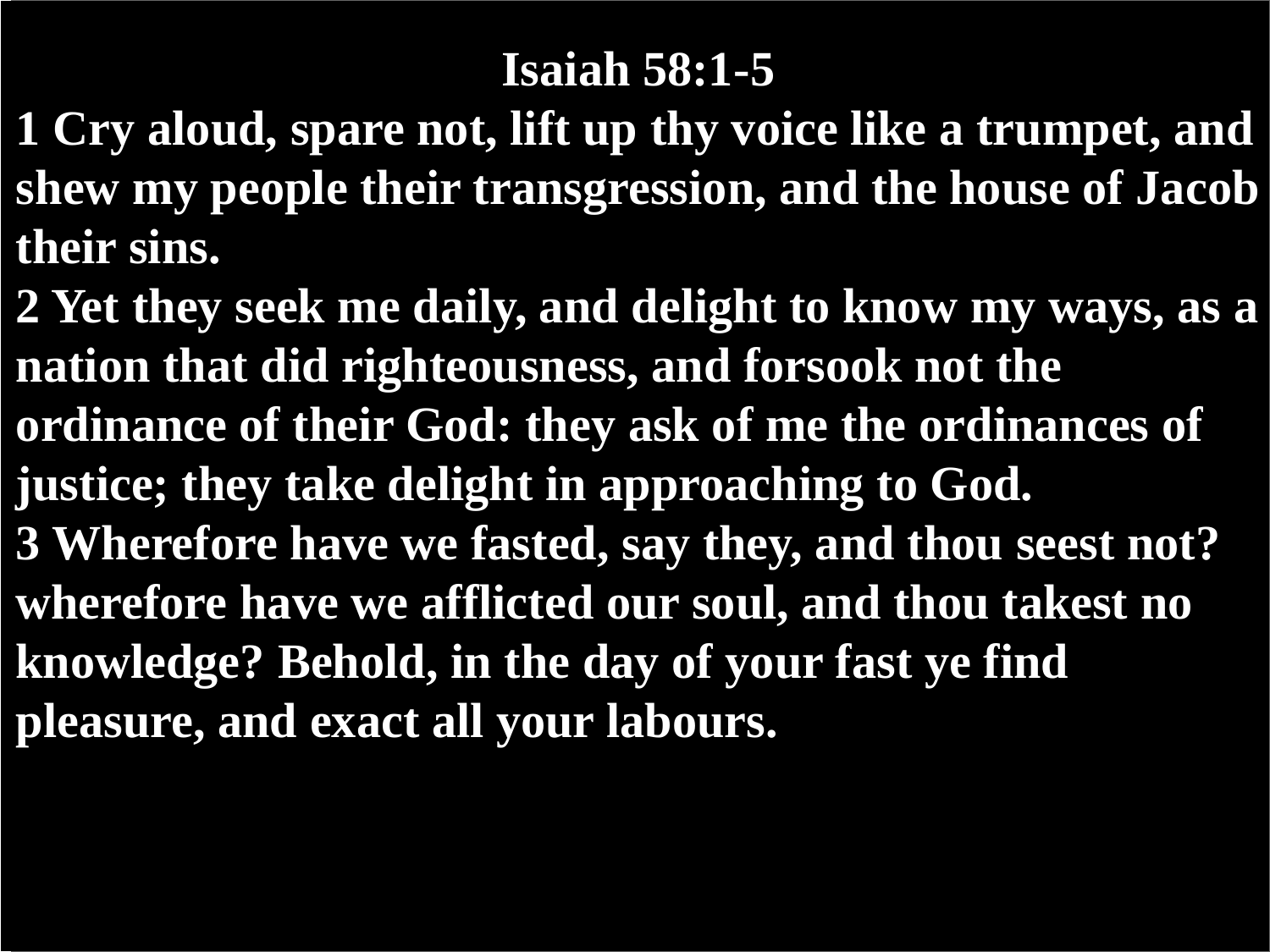#### **Isaiah 58:1-5**

- **1 Cry aloud, spare not, lift up thy voice like a trumpet, and shew my people their transgression, and the house of Jacob their sins.**
- **2 Yet they seek me daily, and delight to know my ways, as a nation that did righteousness, and forsook not the ordinance of their God: they ask of me the ordinances of justice; they take delight in approaching to God. 3 Wherefore have we fasted, say they, and thou seest not? wherefore have we afflicted our soul, and thou takest no knowledge? Behold, in the day of your fast ye find pleasure, and exact all your labours.**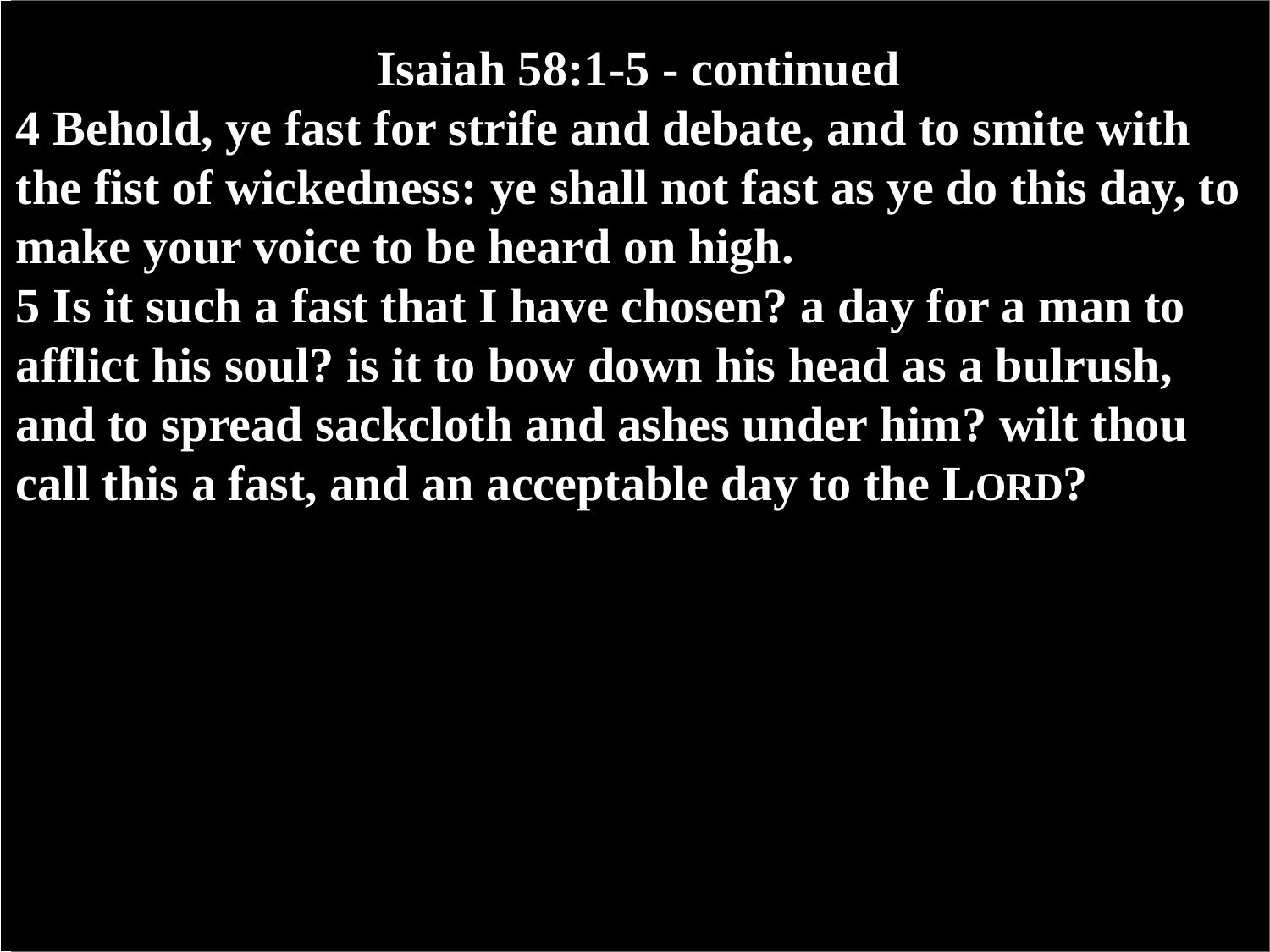#### **Isaiah 58:1-5 - continued**

**4 Behold, ye fast for strife and debate, and to smite with the fist of wickedness: ye shall not fast as ye do this day, to make your voice to be heard on high.**

**5 Is it such a fast that I have chosen? a day for a man to afflict his soul? is it to bow down his head as a bulrush, and to spread sackcloth and ashes under him? wilt thou call this a fast, and an acceptable day to the LORD?**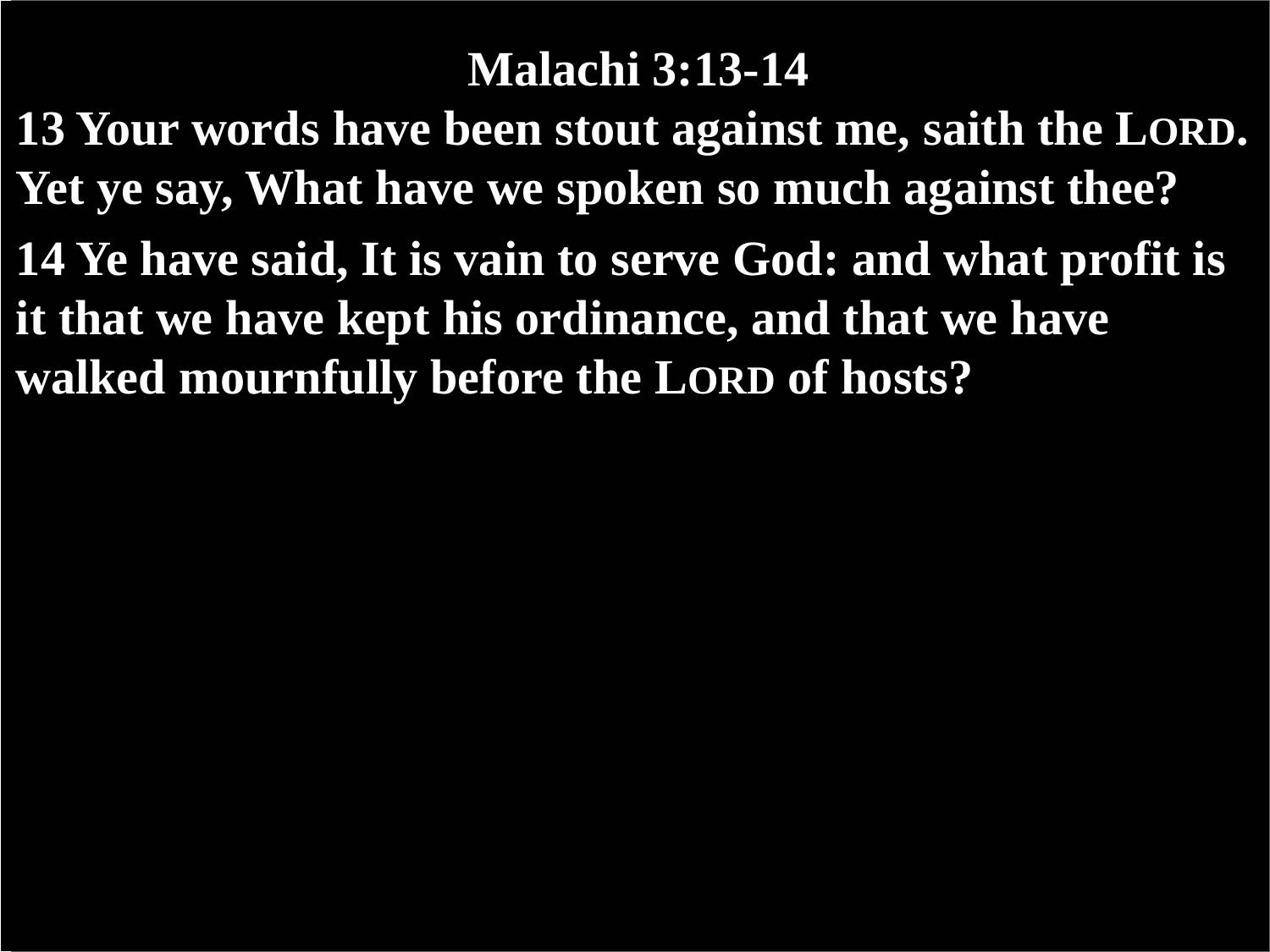#### **Malachi 3:13-14**

**13 Your words have been stout against me, saith the LORD. Yet ye say, What have we spoken so much against thee? 14 Ye have said, It is vain to serve God: and what profit is it that we have kept his ordinance, and that we have walked mournfully before the LORD of hosts?**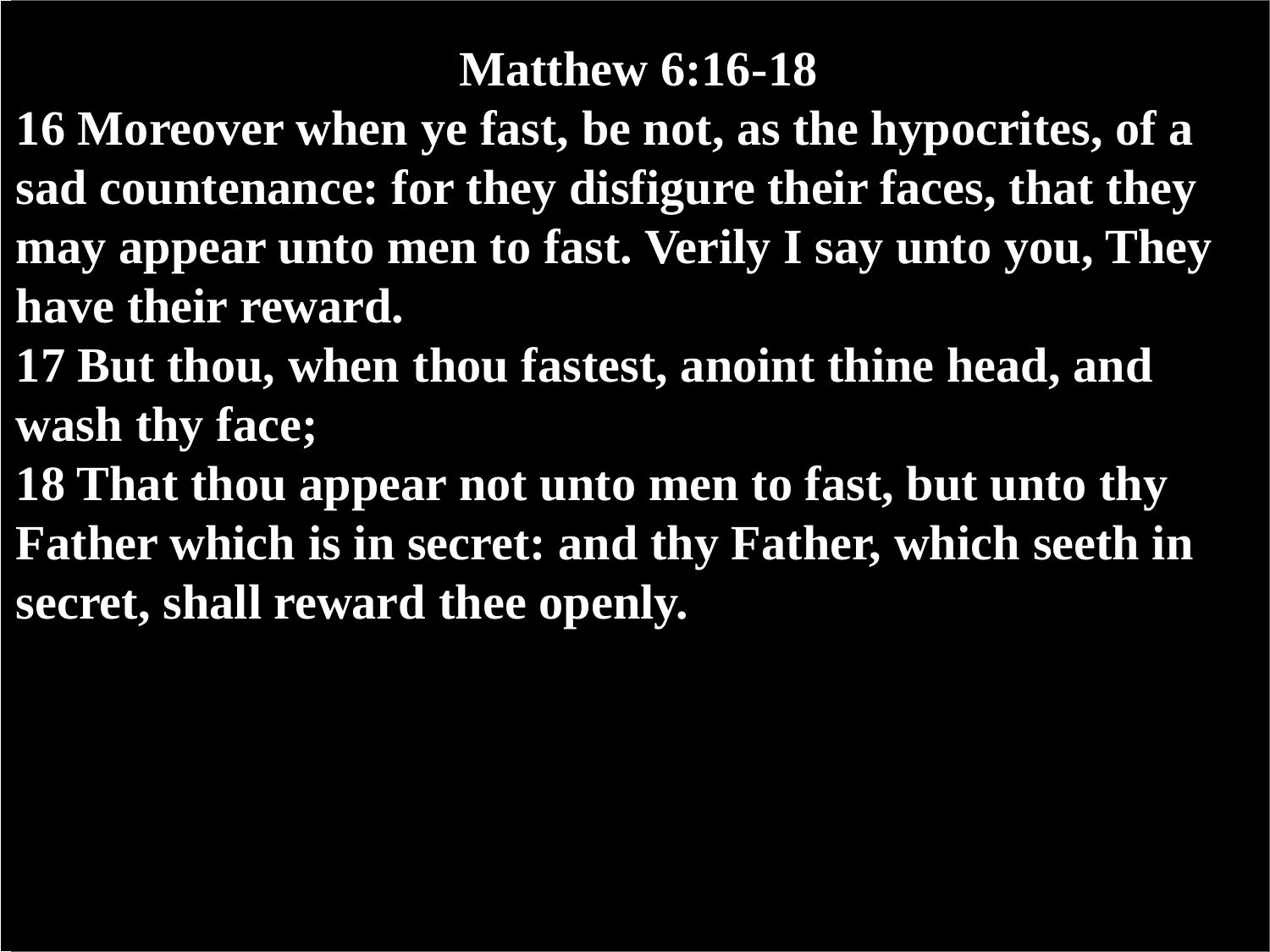#### **Matthew 6:16-18**

- **16 Moreover when ye fast, be not, as the hypocrites, of a sad countenance: for they disfigure their faces, that they may appear unto men to fast. Verily I say unto you, They have their reward.**
- **17 But thou, when thou fastest, anoint thine head, and wash thy face;**
- **18 That thou appear not unto men to fast, but unto thy Father which is in secret: and thy Father, which seeth in secret, shall reward thee openly.**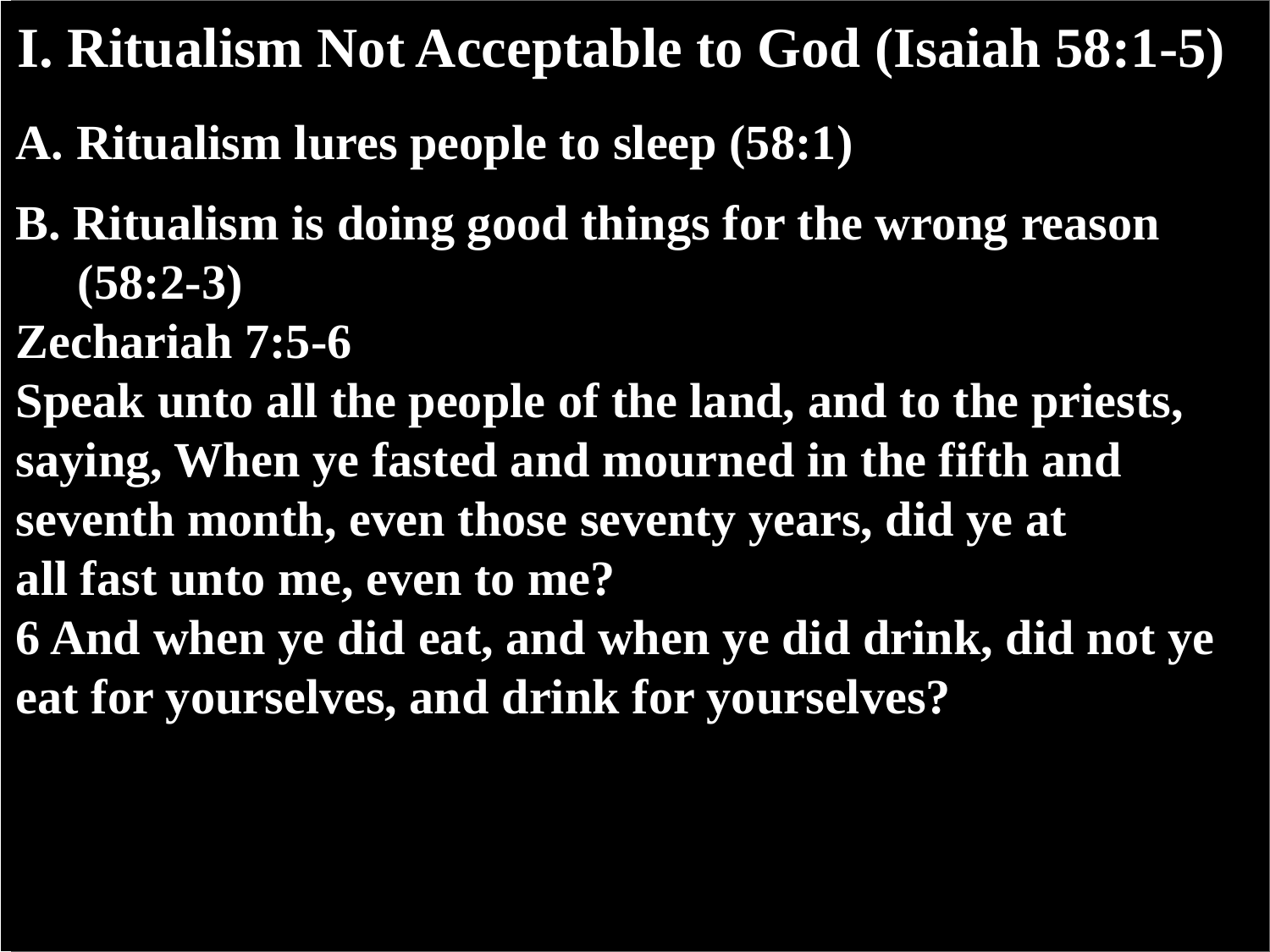#### **I. Ritualism Not Acceptable to God (Isaiah 58:1-5)**

- **A. Ritualism lures people to sleep (58:1)**
- **B. Ritualism is doing good things for the wrong reason (58:2-3)**
- **Zechariah 7:5-6**
- **Speak unto all the people of the land, and to the priests, saying, When ye fasted and mourned in the fifth and seventh month, even those seventy years, did ye at all fast unto me, even to me?**
- **6 And when ye did eat, and when ye did drink, did not ye eat for yourselves, and drink for yourselves?**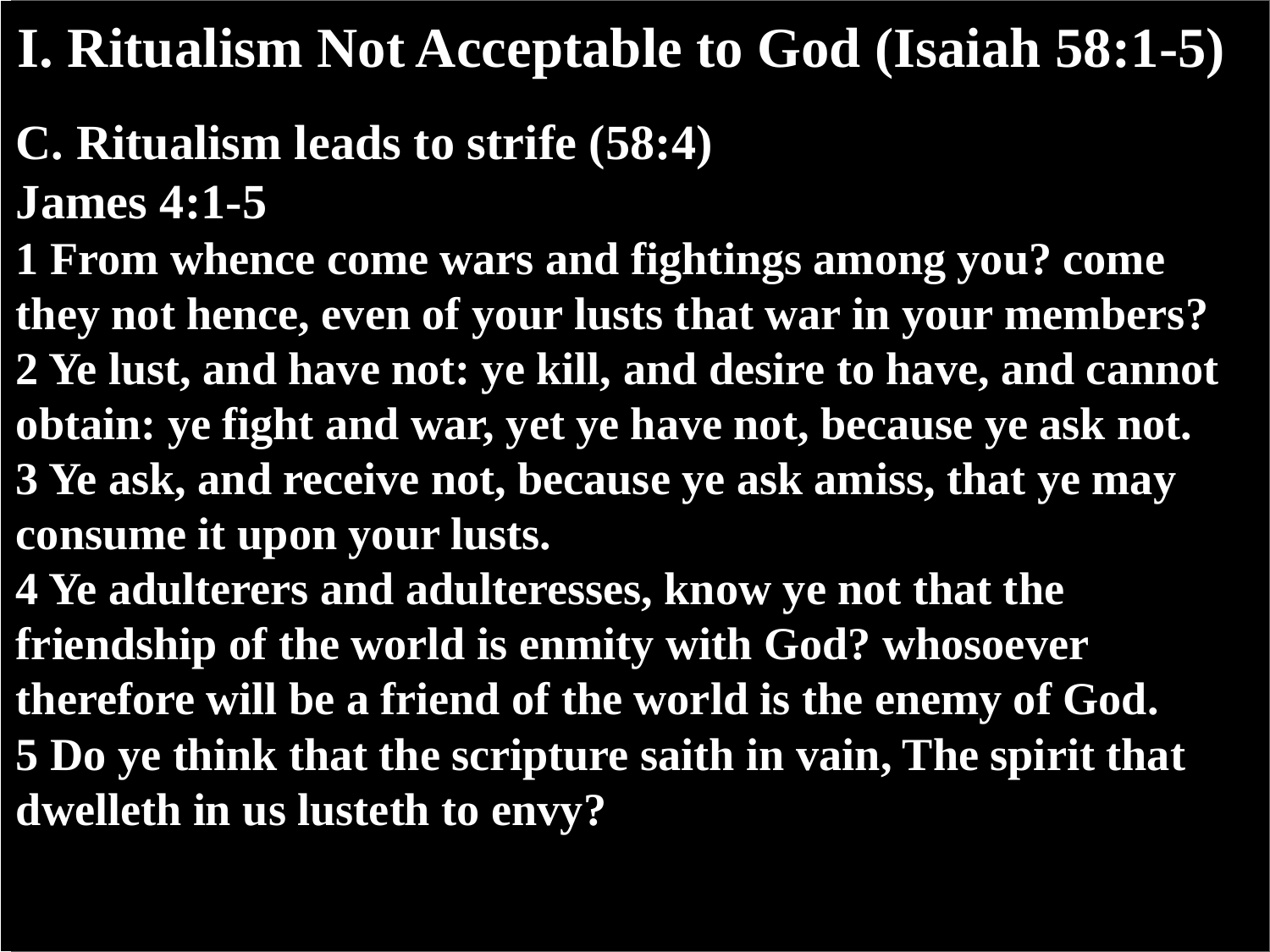#### **I. Ritualism Not Acceptable to God (Isaiah 58:1-5)**

- **C. Ritualism leads to strife (58:4) James 4:1-5**
- **1 From whence come wars and fightings among you? come they not hence, even of your lusts that war in your members? 2 Ye lust, and have not: ye kill, and desire to have, and cannot obtain: ye fight and war, yet ye have not, because ye ask not. 3 Ye ask, and receive not, because ye ask amiss, that ye may consume it upon your lusts.**
- **4 Ye adulterers and adulteresses, know ye not that the friendship of the world is enmity with God? whosoever therefore will be a friend of the world is the enemy of God. 5 Do ye think that the scripture saith in vain, The spirit that dwelleth in us lusteth to envy?**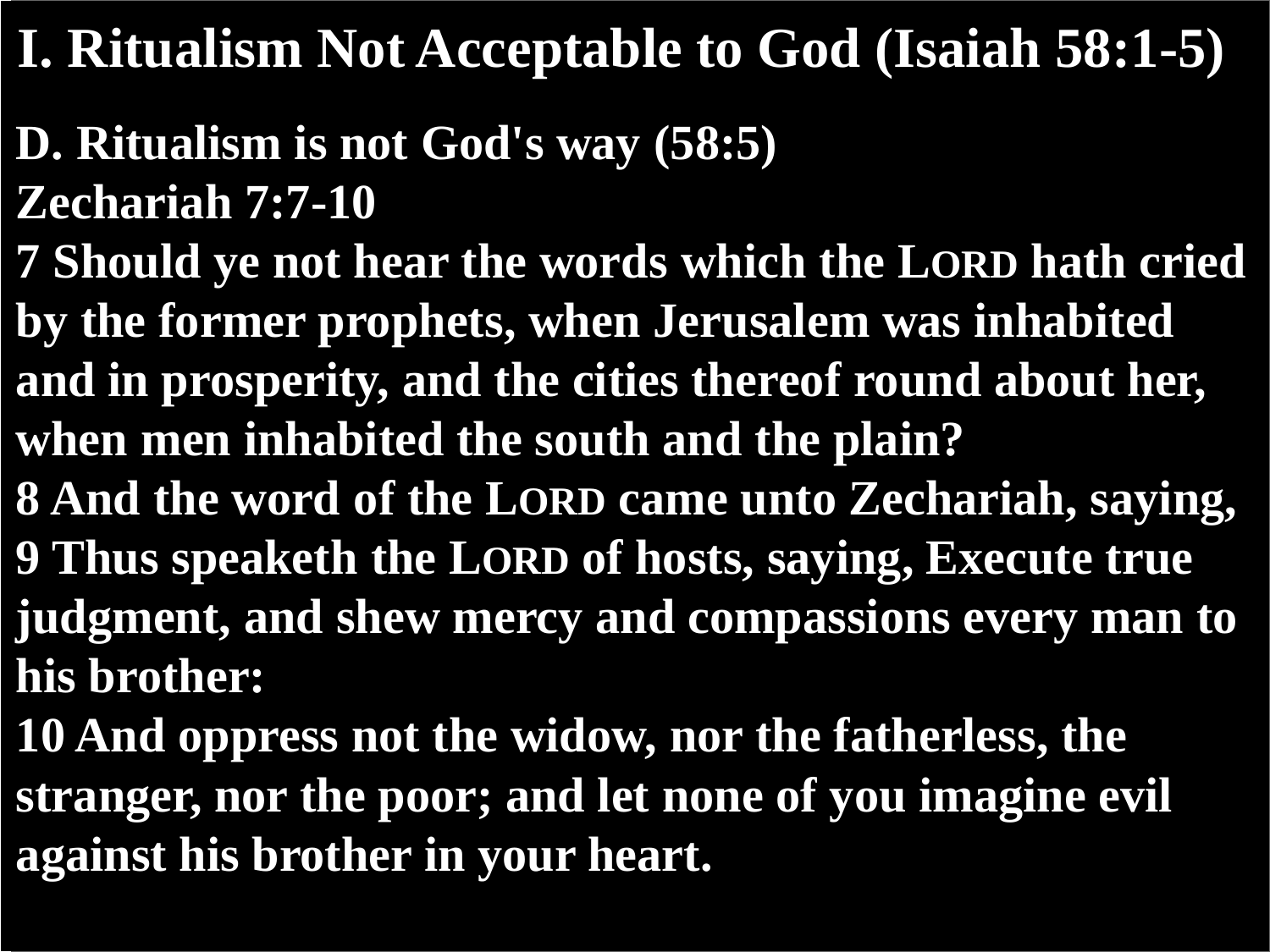#### **I. Ritualism Not Acceptable to God (Isaiah 58:1-5)**

- **D. Ritualism is not God's way (58:5) Zechariah 7:7-10**
- **7 Should ye not hear the words which the LORD hath cried by the former prophets, when Jerusalem was inhabited and in prosperity, and the cities thereof round about her, when men inhabited the south and the plain?**
- **8 And the word of the LORD came unto Zechariah, saying, 9 Thus speaketh the LORD of hosts, saying, Execute true judgment, and shew mercy and compassions every man to his brother:**
- **10 And oppress not the widow, nor the fatherless, the stranger, nor the poor; and let none of you imagine evil against his brother in your heart.**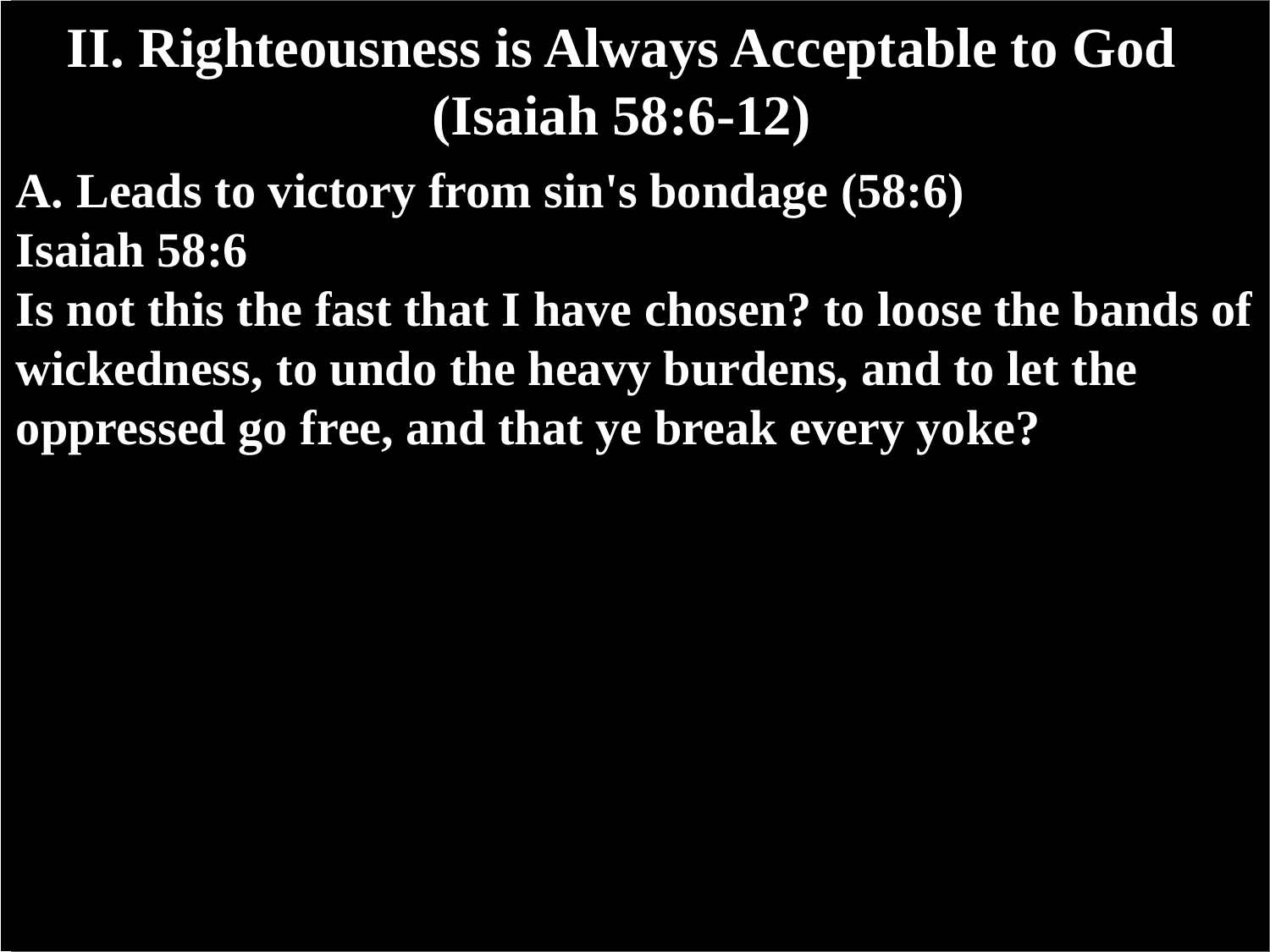- **A. Leads to victory from sin's bondage (58:6) Isaiah 58:6**
- **Is not this the fast that I have chosen? to loose the bands of wickedness, to undo the heavy burdens, and to let the oppressed go free, and that ye break every yoke?**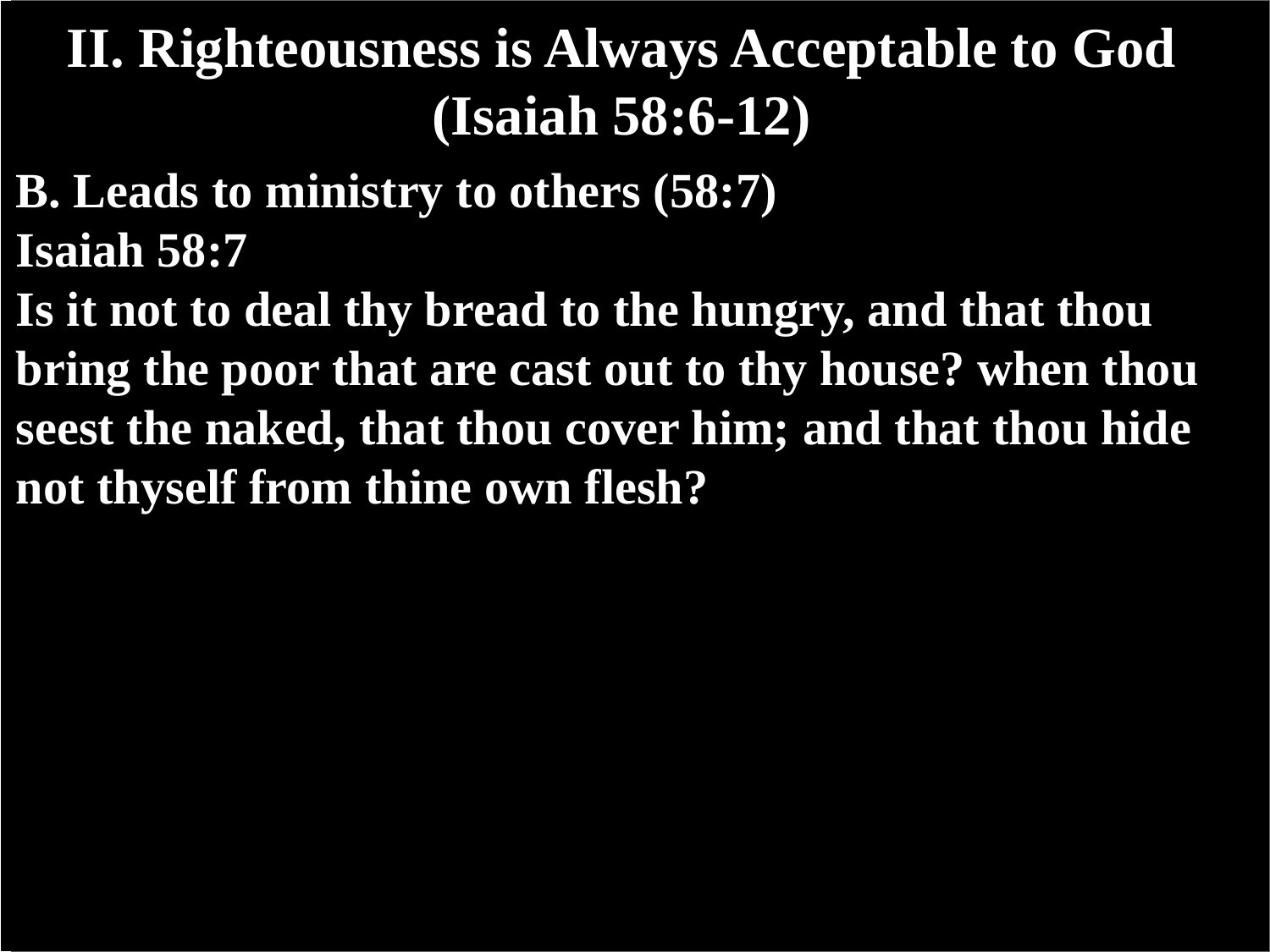- **B. Leads to ministry to others (58:7) Isaiah 58:7**
- **Is it not to deal thy bread to the hungry, and that thou bring the poor that are cast out to thy house? when thou seest the naked, that thou cover him; and that thou hide not thyself from thine own flesh?**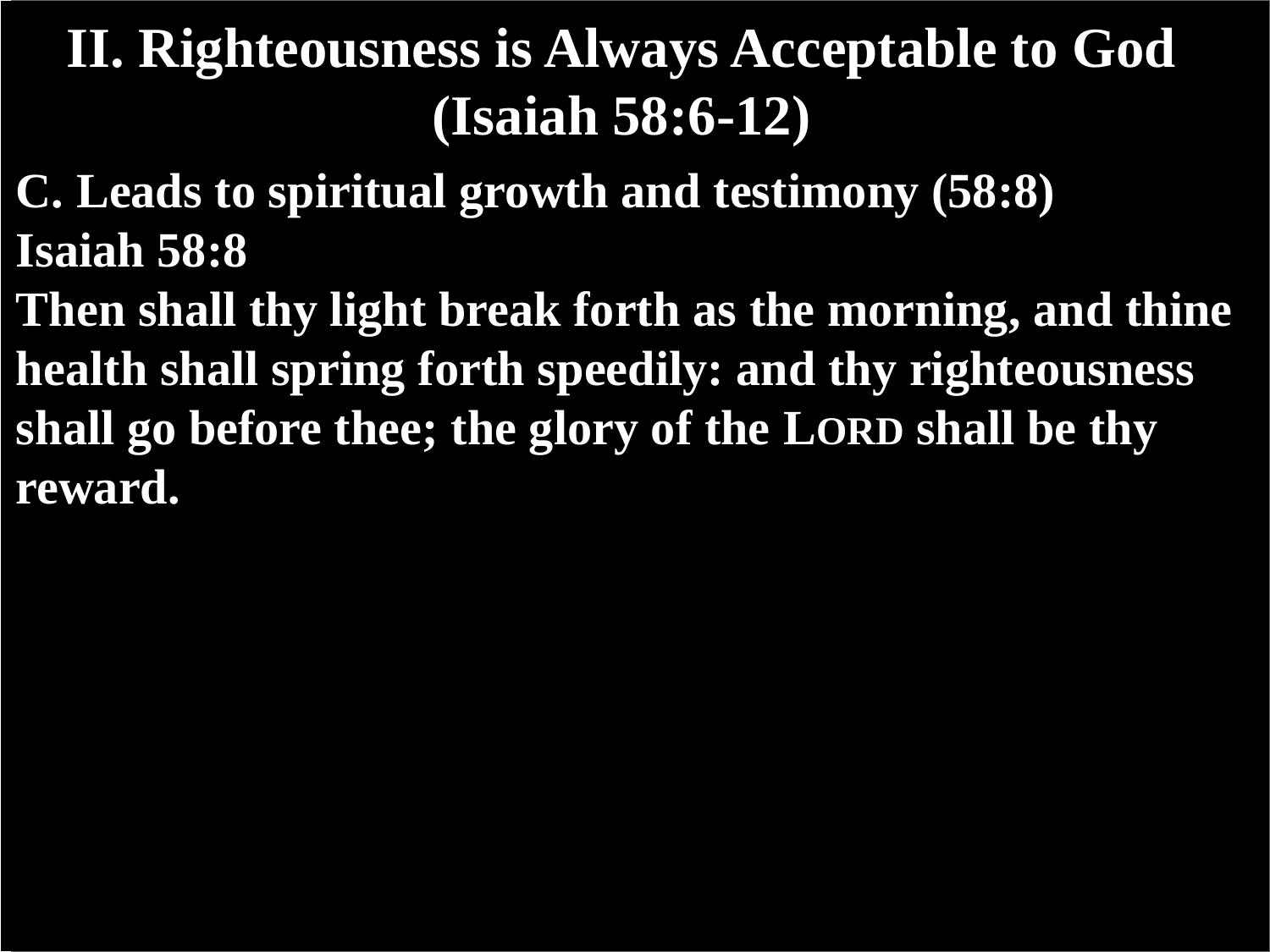- **C. Leads to spiritual growth and testimony (58:8) Isaiah 58:8**
- **Then shall thy light break forth as the morning, and thine health shall spring forth speedily: and thy righteousness shall go before thee; the glory of the LORD shall be thy reward.**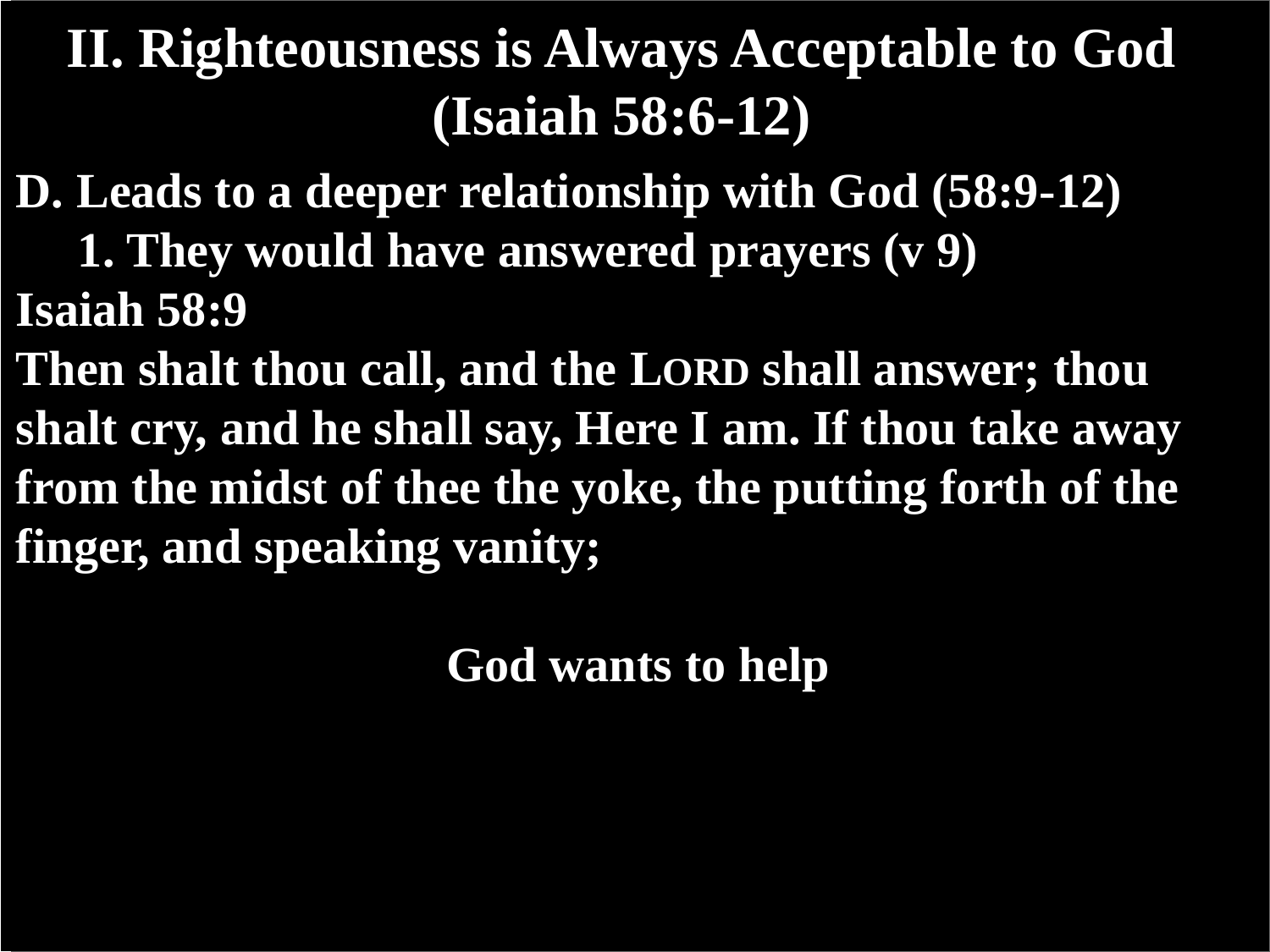- **D. Leads to a deeper relationship with God (58:9-12)**
- **1. They would have answered prayers (v 9) Isaiah 58:9**
- **Then shalt thou call, and the LORD shall answer; thou shalt cry, and he shall say, Here I am. If thou take away from the midst of thee the yoke, the putting forth of the finger, and speaking vanity;**

**God wants to help**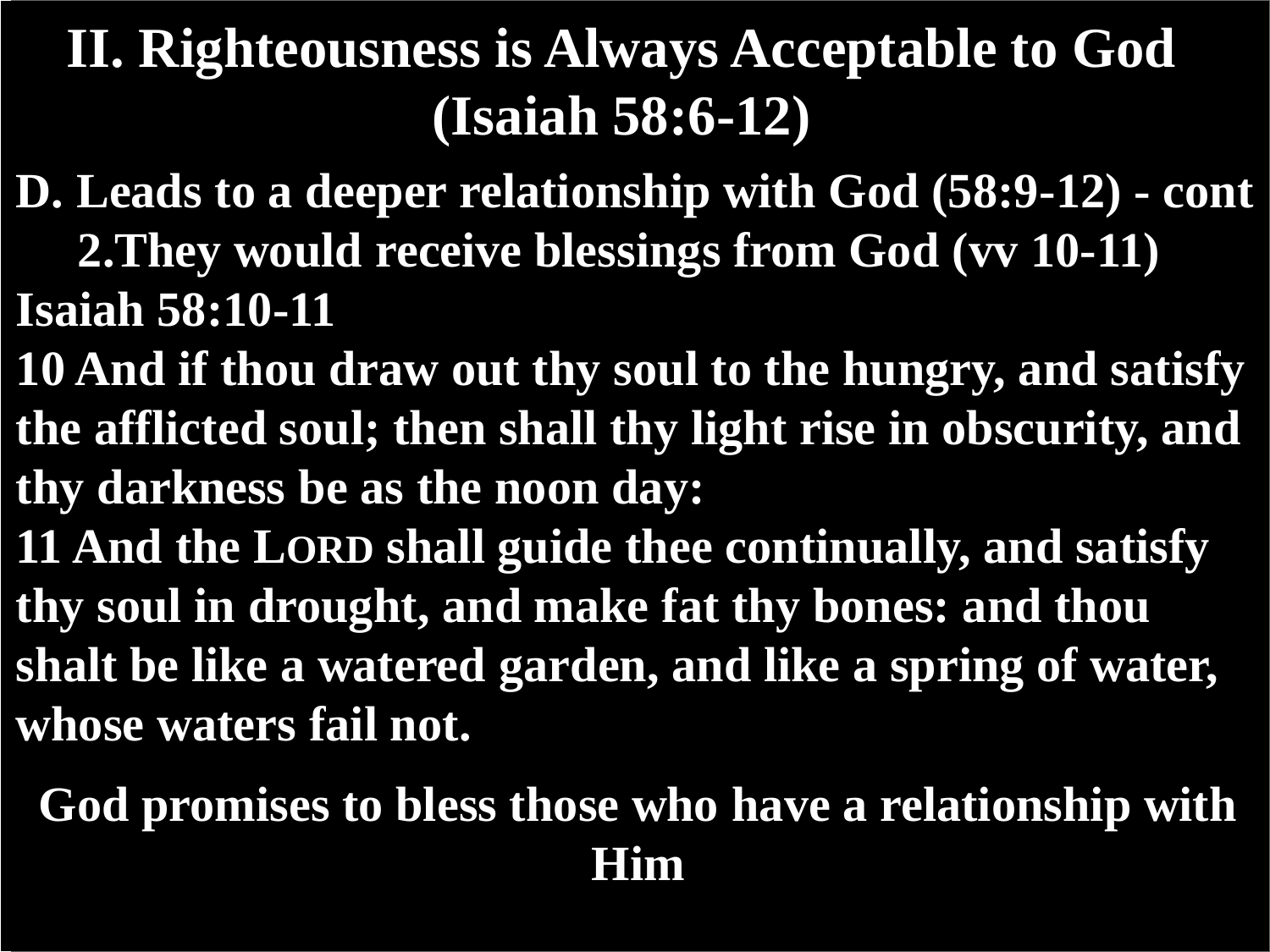- **D. Leads to a deeper relationship with God (58:9-12) - cont 2.They would receive blessings from God (vv 10-11) Isaiah 58:10-11**
- **10 And if thou draw out thy soul to the hungry, and satisfy the afflicted soul; then shall thy light rise in obscurity, and thy darkness be as the noon day:**
- **11 And the LORD shall guide thee continually, and satisfy thy soul in drought, and make fat thy bones: and thou shalt be like a watered garden, and like a spring of water, whose waters fail not.**

#### **God promises to bless those who have a relationship with Him**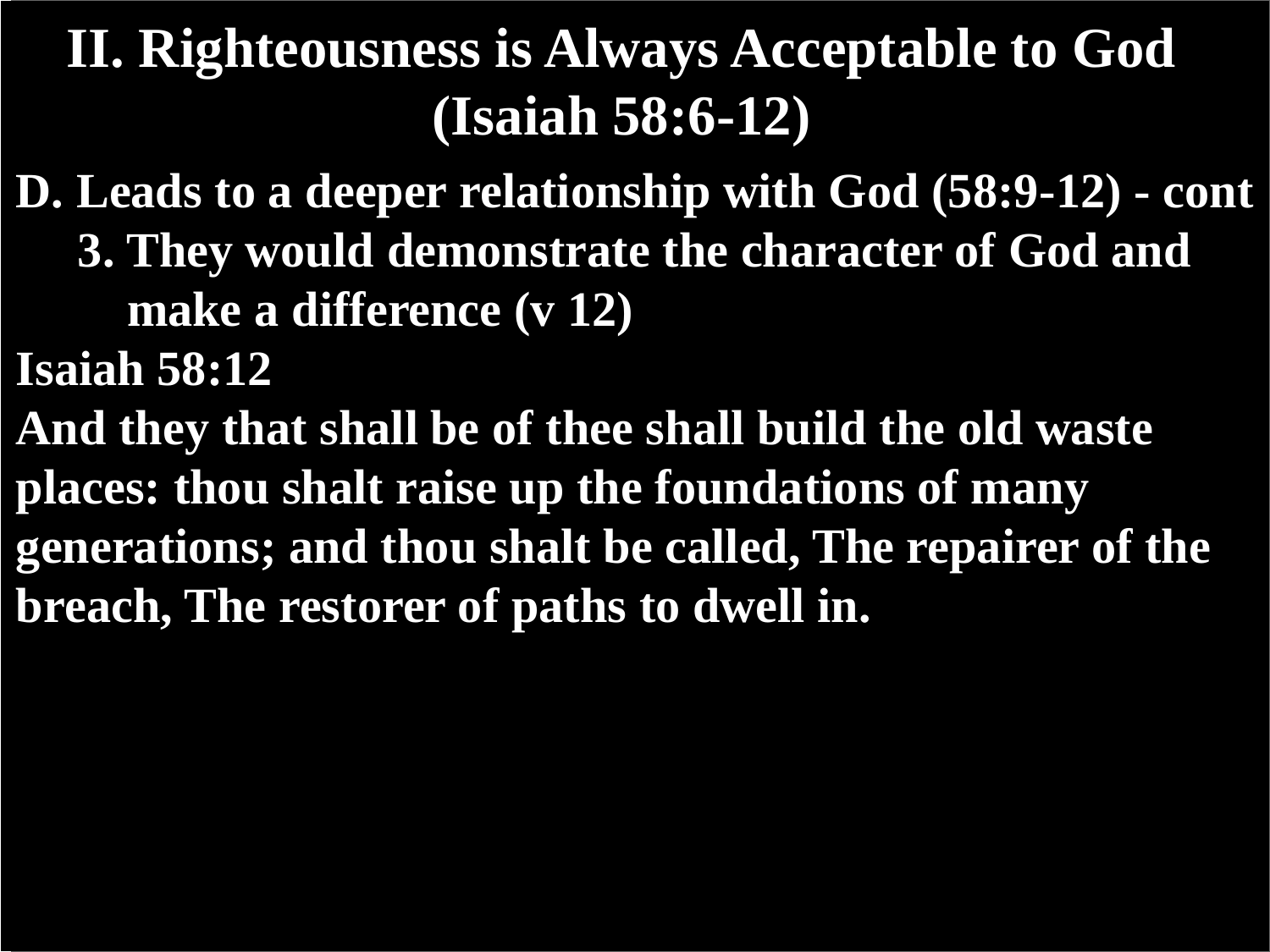- **D. Leads to a deeper relationship with God (58:9-12) - cont 3. They would demonstrate the character of God and**
	- **make a difference (v 12)**
- **Isaiah 58:12**
- **And they that shall be of thee shall build the old waste places: thou shalt raise up the foundations of many generations; and thou shalt be called, The repairer of the breach, The restorer of paths to dwell in.**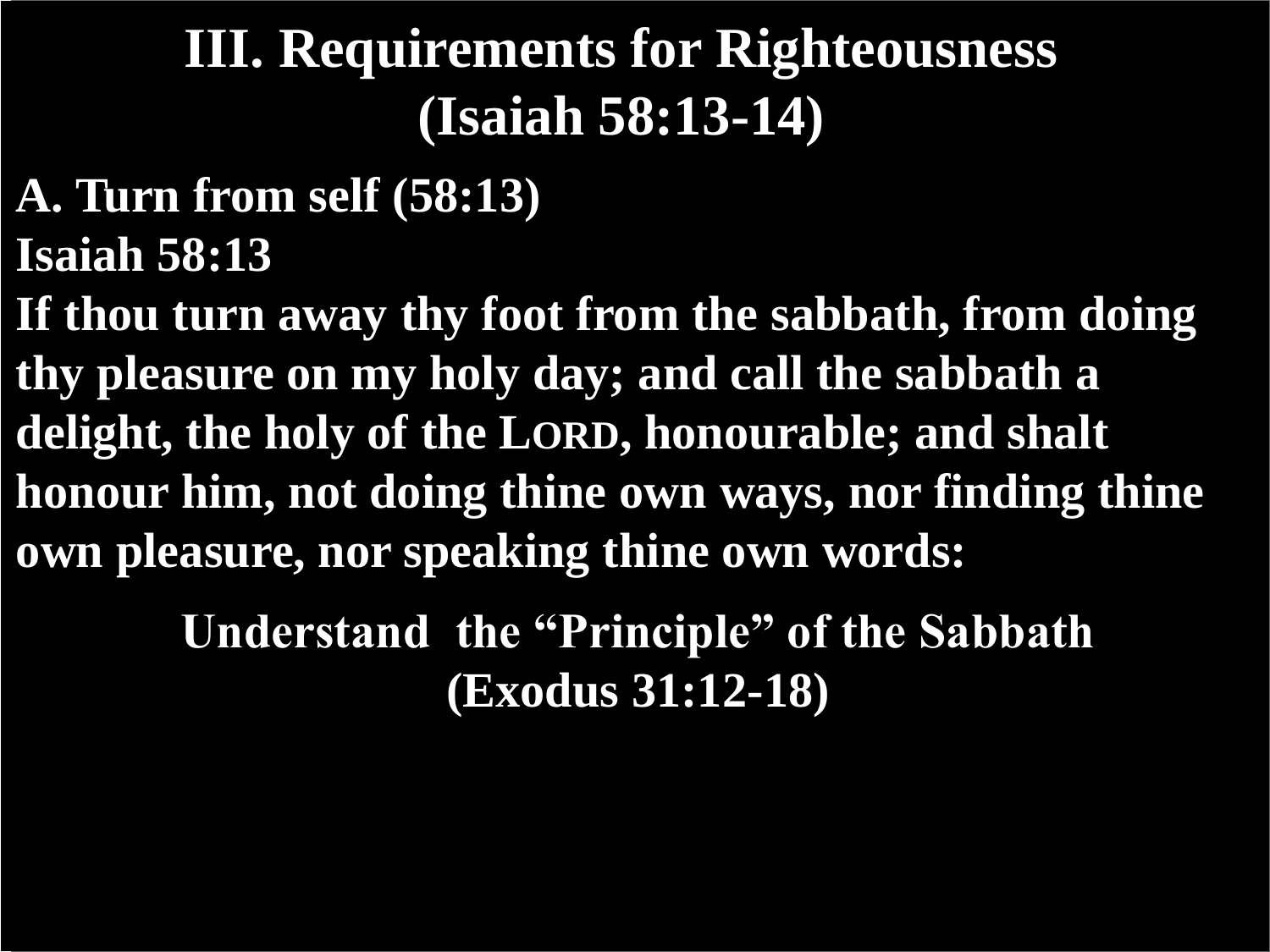## **III. Requirements for Righteousness (Isaiah 58:13-14)**

- **A. Turn from self (58:13) Isaiah 58:13**
- **If thou turn away thy foot from the sabbath, from doing thy pleasure on my holy day; and call the sabbath a delight, the holy of the LORD, honourable; and shalt honour him, not doing thine own ways, nor finding thine own pleasure, nor speaking thine own words:**

**Understand the "Principle" of the Sabbath (Exodus 31:12-18)**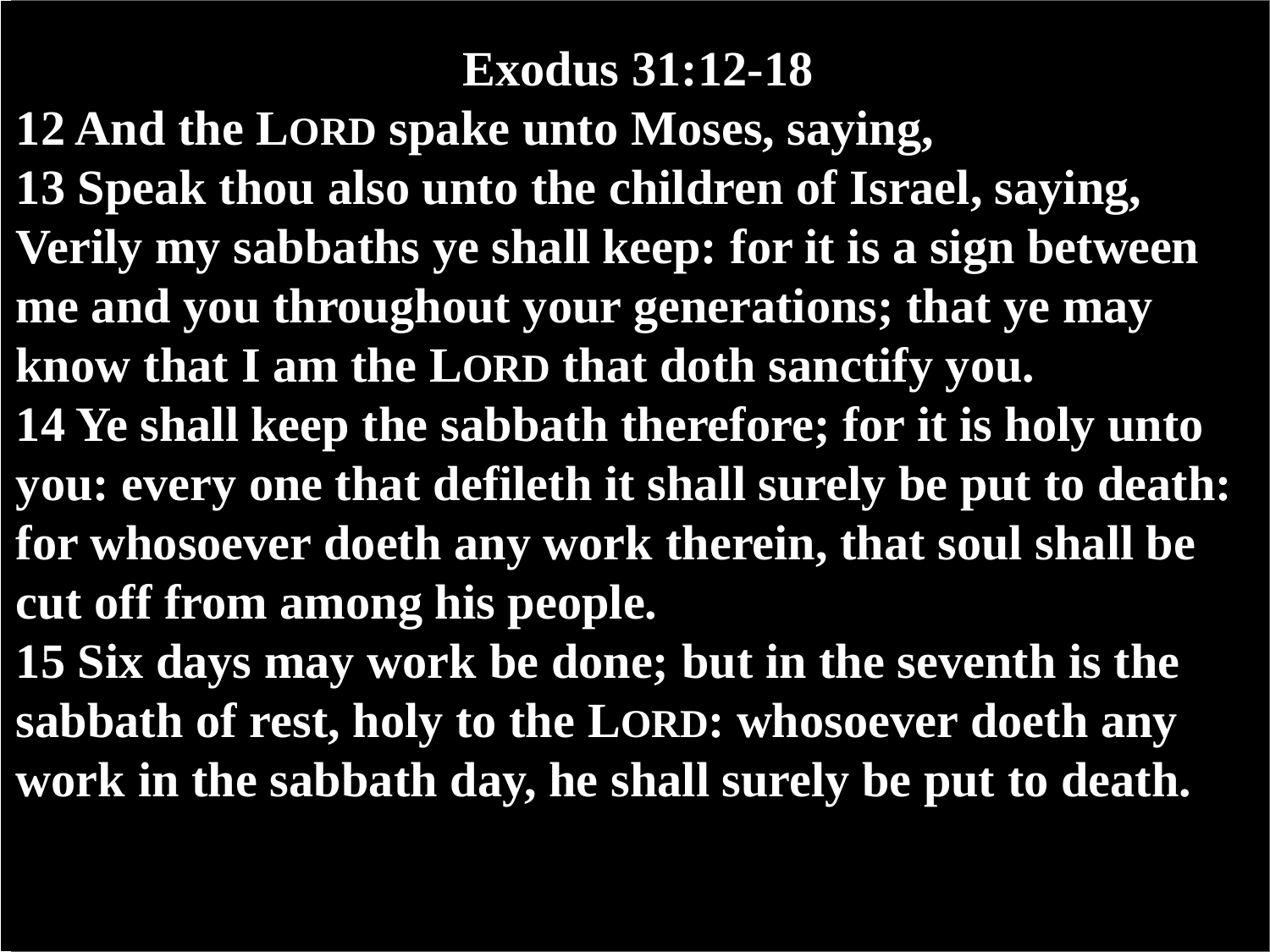#### **Exodus 31:12-18**

**12 And the LORD spake unto Moses, saying, 13 Speak thou also unto the children of Israel, saying, Verily my sabbaths ye shall keep: for it is a sign between me and you throughout your generations; that ye may know that I am the LORD that doth sanctify you. 14 Ye shall keep the sabbath therefore; for it is holy unto you: every one that defileth it shall surely be put to death: for whosoever doeth any work therein, that soul shall be cut off from among his people.**

**15 Six days may work be done; but in the seventh is the sabbath of rest, holy to the LORD: whosoever doeth any work in the sabbath day, he shall surely be put to death.**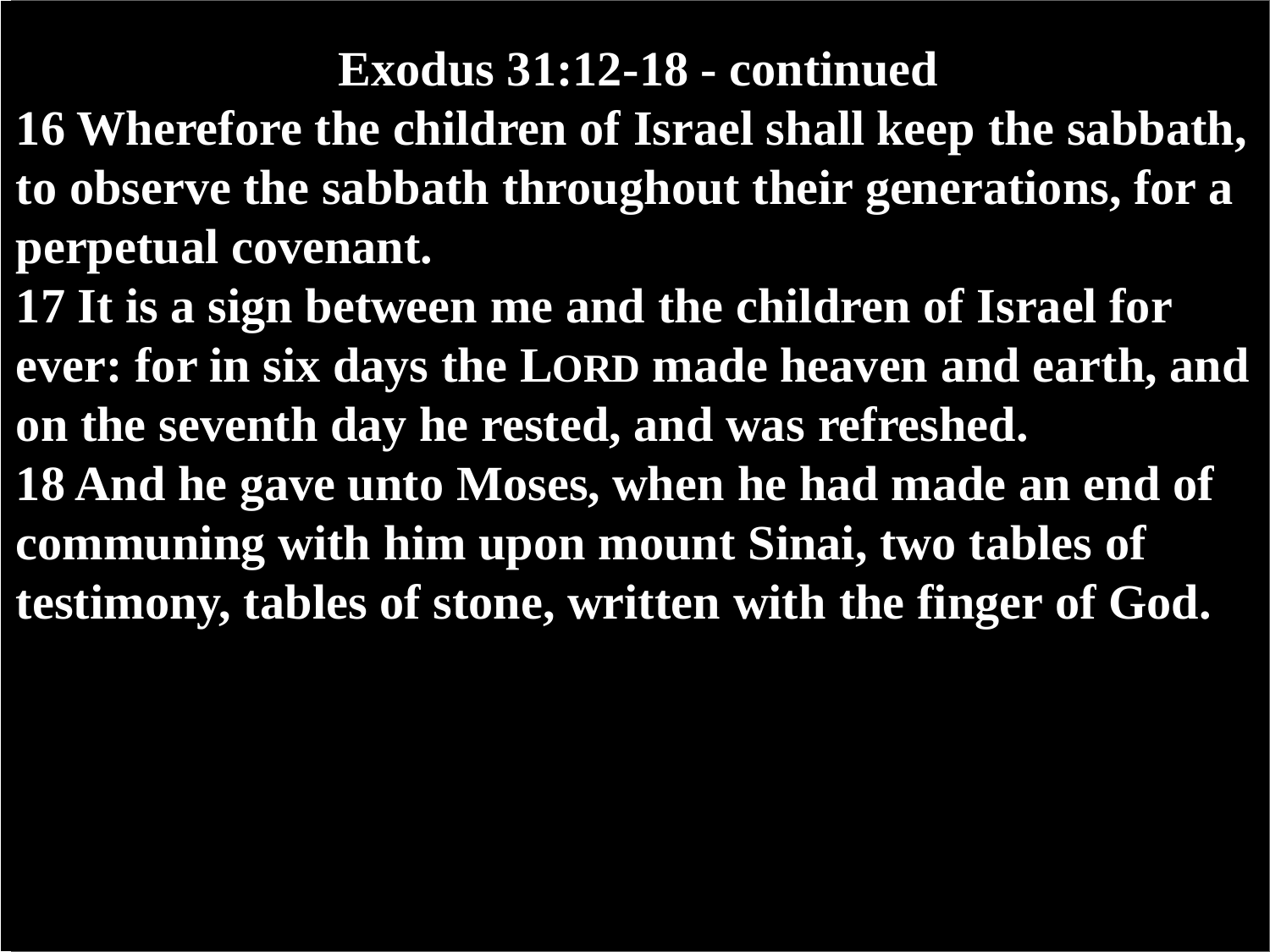#### **Exodus 31:12-18 - continued**

- **16 Wherefore the children of Israel shall keep the sabbath, to observe the sabbath throughout their generations, for a perpetual covenant.**
- **17 It is a sign between me and the children of Israel for ever: for in six days the LORD made heaven and earth, and on the seventh day he rested, and was refreshed. 18 And he gave unto Moses, when he had made an end of communing with him upon mount Sinai, two tables of testimony, tables of stone, written with the finger of God.**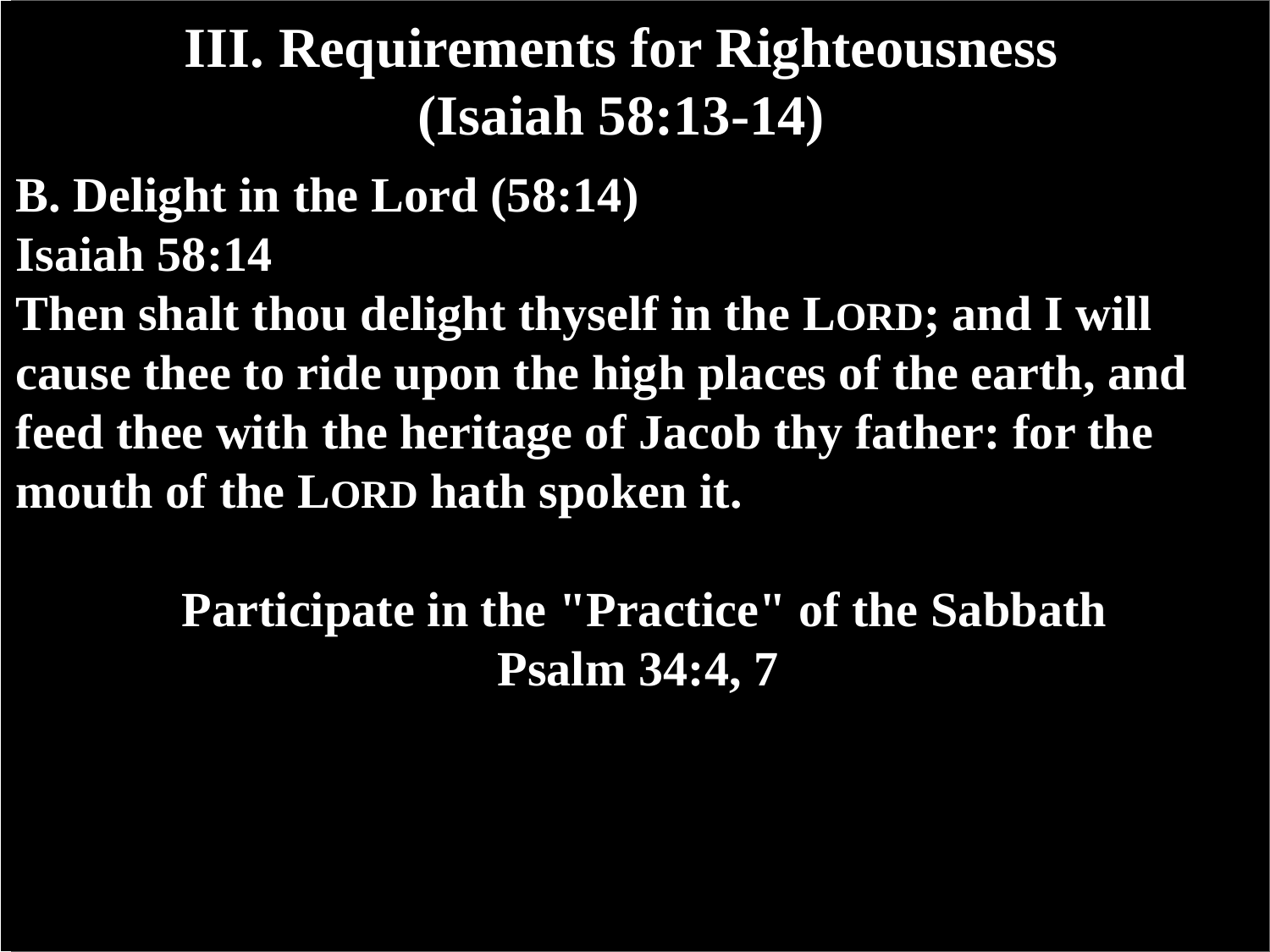### **III. Requirements for Righteousness (Isaiah 58:13-14)**

- **B. Delight in the Lord (58:14) Isaiah 58:14**
- **Then shalt thou delight thyself in the LORD; and I will cause thee to ride upon the high places of the earth, and feed thee with the heritage of Jacob thy father: for the mouth of the LORD hath spoken it.**

**Participate in the "Practice" of the Sabbath Psalm 34:4, 7**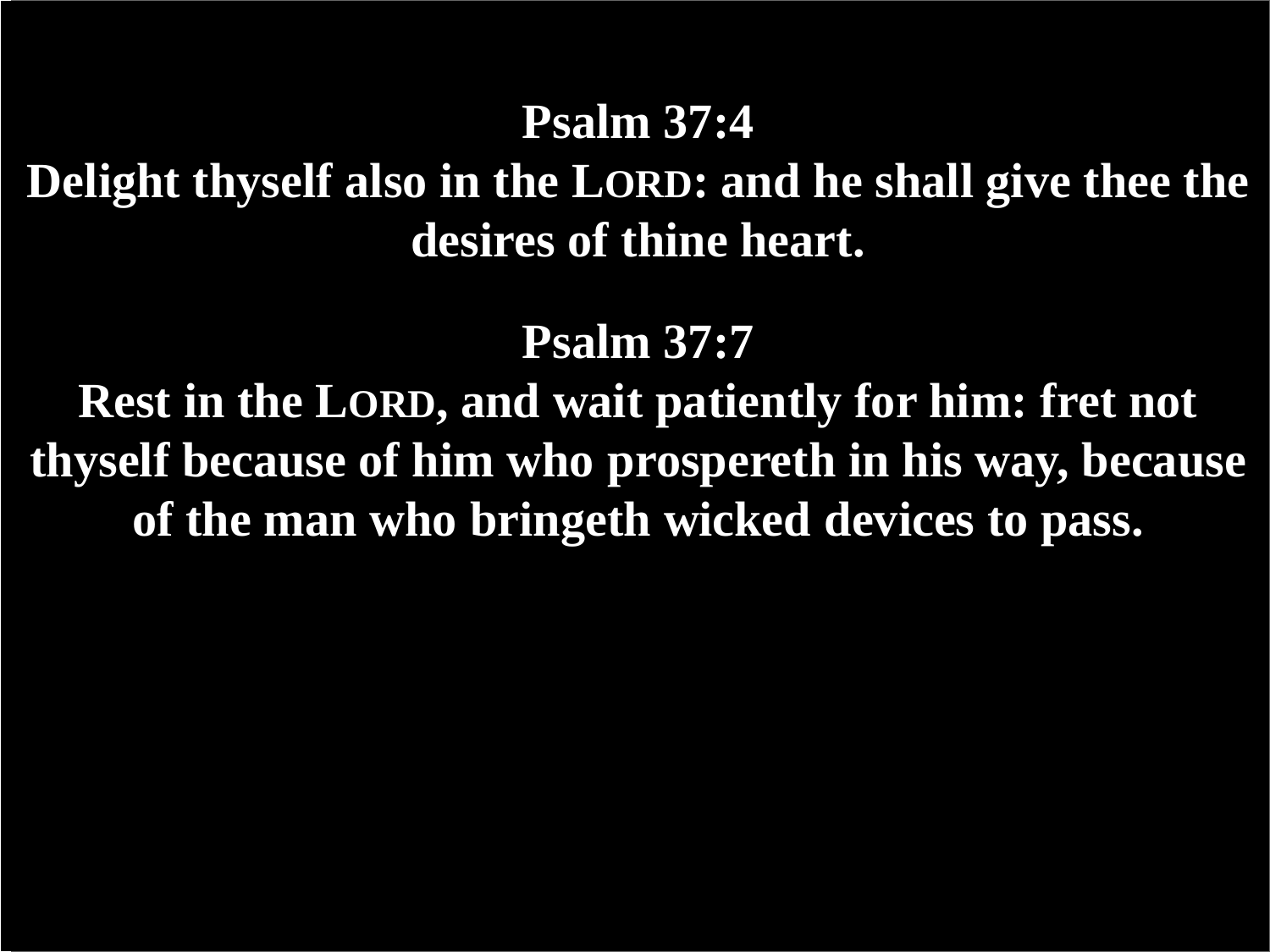#### **Psalm 37:4**

**Delight thyself also in the LORD: and he shall give thee the desires of thine heart.**

**Psalm 37:7**

**Rest in the LORD, and wait patiently for him: fret not thyself because of him who prospereth in his way, because of the man who bringeth wicked devices to pass.**